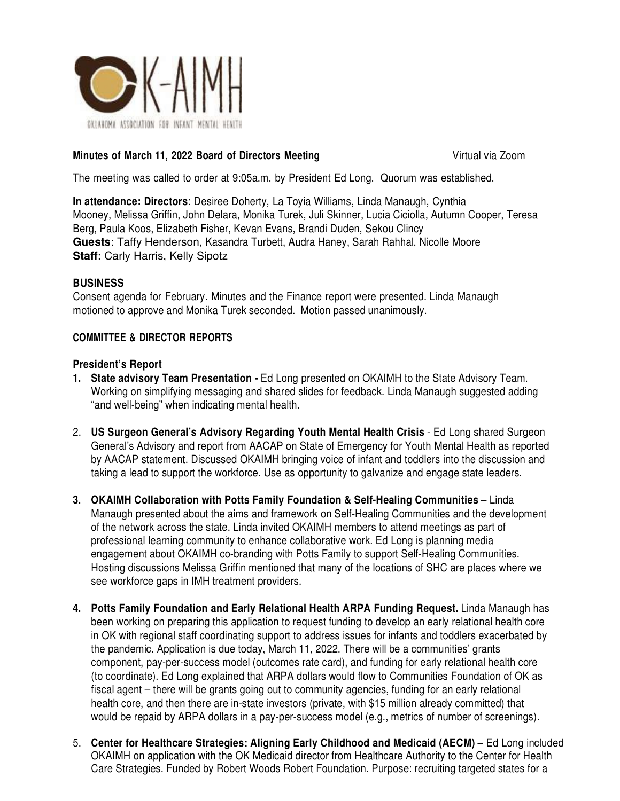

## **Minutes of March 11, 2022 Board of Directors Meeting The Convention Company of Virtual via Zoom**

The meeting was called to order at 9:05a.m. by President Ed Long. Quorum was established.

**In attendance: Directors**: Desiree Doherty, La Toyia Williams, Linda Manaugh, Cynthia Mooney, Melissa Griffin, John Delara, Monika Turek, Juli Skinner, Lucia Ciciolla, Autumn Cooper, Teresa Berg, Paula Koos, Elizabeth Fisher, Kevan Evans, Brandi Duden, Sekou Clincy **Guests**: Taffy Henderson, Kasandra Turbett, Audra Haney, Sarah Rahhal, Nicolle Moore **Staff: Carly Harris, Kelly Sipotz** 

## **BUSINESS**

Consent agenda for February. Minutes and the Finance report were presented. Linda Manaugh motioned to approve and Monika Turek seconded. Motion passed unanimously.

# **COMMITTEE & DIRECTOR REPORTS**

#### **President's Report**

- **1. State advisory Team Presentation** Ed Long presented on OKAIMH to the State Advisory Team. Working on simplifying messaging and shared slides for feedback. Linda Manaugh suggested adding "and well-being" when indicating mental health.
- 2. **US Surgeon General's Advisory Regarding Youth Mental Health Crisis**  Ed Long shared Surgeon General's Advisory and report from AACAP on State of Emergency for Youth Mental Health as reported by AACAP statement. Discussed OKAIMH bringing voice of infant and toddlers into the discussion and taking a lead to support the workforce. Use as opportunity to galvanize and engage state leaders.
- **3. OKAIMH Collaboration with Potts Family Foundation & Self-Healing Communities**  Linda Manaugh presented about the aims and framework on Self-Healing Communities and the development of the network across the state. Linda invited OKAIMH members to attend meetings as part of professional learning community to enhance collaborative work. Ed Long is planning media engagement about OKAIMH co-branding with Potts Family to support Self-Healing Communities. Hosting discussions Melissa Griffin mentioned that many of the locations of SHC are places where we see workforce gaps in IMH treatment providers.
- **4. Potts Family Foundation and Early Relational Health ARPA Funding Request.** Linda Manaugh has been working on preparing this application to request funding to develop an early relational health core in OK with regional staff coordinating support to address issues for infants and toddlers exacerbated by the pandemic. Application is due today, March 11, 2022. There will be a communities' grants component, pay-per-success model (outcomes rate card), and funding for early relational health core (to coordinate). Ed Long explained that ARPA dollars would flow to Communities Foundation of OK as fiscal agent – there will be grants going out to community agencies, funding for an early relational health core, and then there are in-state investors (private, with \$15 million already committed) that would be repaid by ARPA dollars in a pay-per-success model (e.g., metrics of number of screenings).
- 5. **Center for Healthcare Strategies: Aligning Early Childhood and Medicaid (AECM)**  Ed Long included OKAIMH on application with the OK Medicaid director from Healthcare Authority to the Center for Health Care Strategies. Funded by Robert Woods Robert Foundation. Purpose: recruiting targeted states for a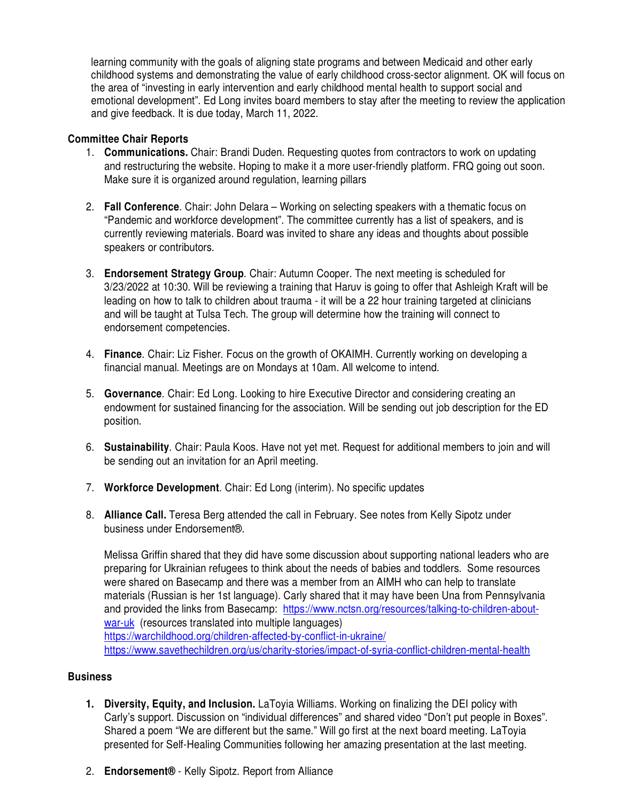learning community with the goals of aligning state programs and between Medicaid and other early childhood systems and demonstrating the value of early childhood cross-sector alignment. OK will focus on the area of "investing in early intervention and early childhood mental health to support social and emotional development". Ed Long invites board members to stay after the meeting to review the application and give feedback. It is due today, March 11, 2022.

## **Committee Chair Reports**

- 1. **Communications.** Chair: Brandi Duden. Requesting quotes from contractors to work on updating and restructuring the website. Hoping to make it a more user-friendly platform. FRQ going out soon. Make sure it is organized around regulation, learning pillars
- 2. **Fall Conference**. Chair: John Delara Working on selecting speakers with a thematic focus on "Pandemic and workforce development". The committee currently has a list of speakers, and is currently reviewing materials. Board was invited to share any ideas and thoughts about possible speakers or contributors.
- 3. **Endorsement Strategy Group**. Chair: Autumn Cooper. The next meeting is scheduled for 3/23/2022 at 10:30. Will be reviewing a training that Haruv is going to offer that Ashleigh Kraft will be leading on how to talk to children about trauma - it will be a 22 hour training targeted at clinicians and will be taught at Tulsa Tech. The group will determine how the training will connect to endorsement competencies.
- 4. **Finance**. Chair: Liz Fisher. Focus on the growth of OKAIMH. Currently working on developing a financial manual. Meetings are on Mondays at 10am. All welcome to intend.
- 5. **Governance**. Chair: Ed Long. Looking to hire Executive Director and considering creating an endowment for sustained financing for the association. Will be sending out job description for the ED position.
- 6. **Sustainability**. Chair: Paula Koos. Have not yet met. Request for additional members to join and will be sending out an invitation for an April meeting.
- 7. **Workforce Development**. Chair: Ed Long (interim). No specific updates
- 8. **Alliance Call.** Teresa Berg attended the call in February. See notes from Kelly Sipotz under business under Endorsement®.

Melissa Griffin shared that they did have some discussion about supporting national leaders who are preparing for Ukrainian refugees to think about the needs of babies and toddlers. Some resources were shared on Basecamp and there was a member from an AIMH who can help to translate materials (Russian is her 1st language). Carly shared that it may have been Una from Pennsylvania and provided the links from Basecamp: https://www.nctsn.org/resources/talking-to-children-aboutwar-uk (resources translated into multiple languages) https://warchildhood.org/children-affected-by-conflict-in-ukraine/

https://www.savethechildren.org/us/charity-stories/impact-of-syria-conflict-children-mental-health

## **Business**

- **1. Diversity, Equity, and Inclusion.** LaToyia Williams. Working on finalizing the DEI policy with Carly's support. Discussion on "individual differences" and shared video "Don't put people in Boxes". Shared a poem "We are different but the same." Will go first at the next board meeting. LaToyia presented for Self-Healing Communities following her amazing presentation at the last meeting.
- 2. **Endorsement®** Kelly Sipotz. Report from Alliance